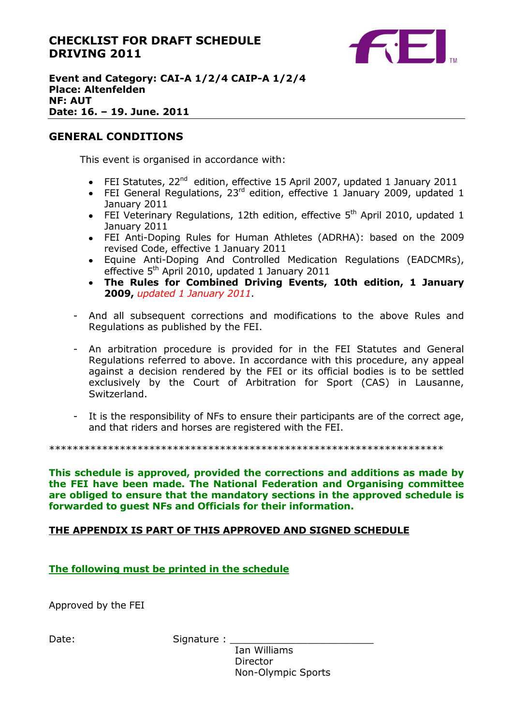## **CHECKLIST FOR DRAFT SCHEDULE DRIVING 2011**



#### **Event and Category: CAI-A 1/2/4 CAIP-A 1/2/4 Place: Altenfelden NF: AUT Date: 16. – 19. June. 2011**

#### **GENERAL CONDITIONS**

This event is organised in accordance with:

- FEI Statutes, 22<sup>nd</sup> edition, effective 15 April 2007, updated 1 January 2011
- FEI General Regulations, 23 $^{rd}$  edition, effective 1 January 2009, updated 1 January 2011
- FEI Veterinary Regulations, 12th edition, effective  $5<sup>th</sup>$  April 2010, updated 1 January 2011
- FEI Anti-Doping Rules for Human Athletes (ADRHA): based on the 2009 revised Code, effective 1 January 2011
- Equine Anti-Doping And Controlled Medication Regulations (EADCMRs), effective  $5<sup>th</sup>$  April 2010, updated 1 January 2011
- **The Rules for Combined Driving Events, 10th edition, 1 January 2009,** *updated 1 January 2011*.
- And all subsequent corrections and modifications to the above Rules and Regulations as published by the FEI.
- An arbitration procedure is provided for in the FEI Statutes and General Regulations referred to above. In accordance with this procedure, any appeal against a decision rendered by the FEI or its official bodies is to be settled exclusively by the Court of Arbitration for Sport (CAS) in Lausanne, Switzerland.
- It is the responsibility of NFs to ensure their participants are of the correct age, and that riders and horses are registered with the FEI.

\*\*\*\*\*\*\*\*\*\*\*\*\*\*\*\*\*\*\*\*\*\*\*\*\*\*\*\*\*\*\*\*\*\*\*\*\*\*\*\*\*\*\*\*\*\*\*\*\*\*\*\*\*\*\*\*\*\*\*\*\*\*\*\*\*\*\*

**This schedule is approved, provided the corrections and additions as made by the FEI have been made. The National Federation and Organising committee are obliged to ensure that the mandatory sections in the approved schedule is forwarded to guest NFs and Officials for their information.**

#### **THE APPENDIX IS PART OF THIS APPROVED AND SIGNED SCHEDULE**

**The following must be printed in the schedule**

Approved by the FEI

Date: Signature :

Ian Williams **Director** Non-Olympic Sports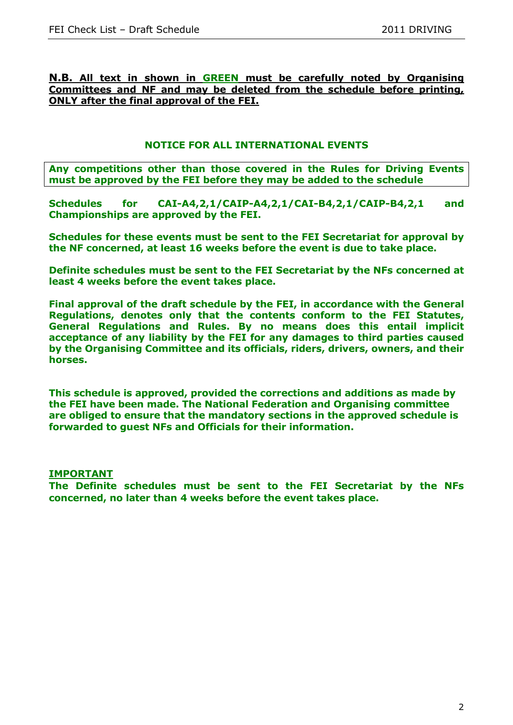#### **N.B. All text in shown in GREEN must be carefully noted by Organising Committees and NF and may be deleted from the schedule before printing, ONLY after the final approval of the FEI.**

#### **NOTICE FOR ALL INTERNATIONAL EVENTS**

**Any competitions other than those covered in the Rules for Driving Events must be approved by the FEI before they may be added to the schedule**

**Schedules for CAI-A4,2,1/CAIP-A4,2,1/CAI-B4,2,1/CAIP-B4,2,1 and Championships are approved by the FEI.**

**Schedules for these events must be sent to the FEI Secretariat for approval by the NF concerned, at least 16 weeks before the event is due to take place.**

**Definite schedules must be sent to the FEI Secretariat by the NFs concerned at least 4 weeks before the event takes place.**

**Final approval of the draft schedule by the FEI, in accordance with the General Regulations, denotes only that the contents conform to the FEI Statutes, General Regulations and Rules. By no means does this entail implicit acceptance of any liability by the FEI for any damages to third parties caused by the Organising Committee and its officials, riders, drivers, owners, and their horses.**

**This schedule is approved, provided the corrections and additions as made by the FEI have been made. The National Federation and Organising committee are obliged to ensure that the mandatory sections in the approved schedule is forwarded to guest NFs and Officials for their information.**

#### **IMPORTANT**

**The Definite schedules must be sent to the FEI Secretariat by the NFs concerned, no later than 4 weeks before the event takes place.**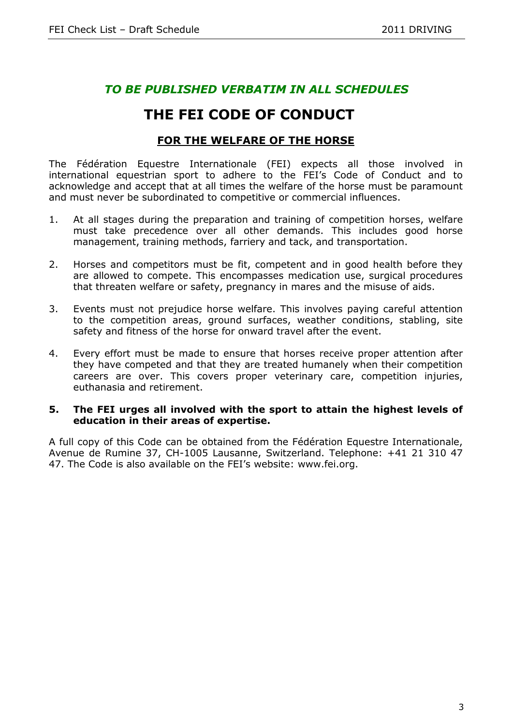## *TO BE PUBLISHED VERBATIM IN ALL SCHEDULES*

# **THE FEI CODE OF CONDUCT**

## **FOR THE WELFARE OF THE HORSE**

The Fédération Equestre Internationale (FEI) expects all those involved in international equestrian sport to adhere to the FEI's Code of Conduct and to acknowledge and accept that at all times the welfare of the horse must be paramount and must never be subordinated to competitive or commercial influences.

- 1. At all stages during the preparation and training of competition horses, welfare must take precedence over all other demands. This includes good horse management, training methods, farriery and tack, and transportation.
- 2. Horses and competitors must be fit, competent and in good health before they are allowed to compete. This encompasses medication use, surgical procedures that threaten welfare or safety, pregnancy in mares and the misuse of aids.
- 3. Events must not prejudice horse welfare. This involves paying careful attention to the competition areas, ground surfaces, weather conditions, stabling, site safety and fitness of the horse for onward travel after the event.
- 4. Every effort must be made to ensure that horses receive proper attention after they have competed and that they are treated humanely when their competition careers are over. This covers proper veterinary care, competition injuries, euthanasia and retirement.

#### **5. The FEI urges all involved with the sport to attain the highest levels of education in their areas of expertise.**

A full copy of this Code can be obtained from the Fédération Equestre Internationale, Avenue de Rumine 37, CH-1005 Lausanne, Switzerland. Telephone: +41 21 310 47 47. The Code is also available on the FEI's website: www.fei.org.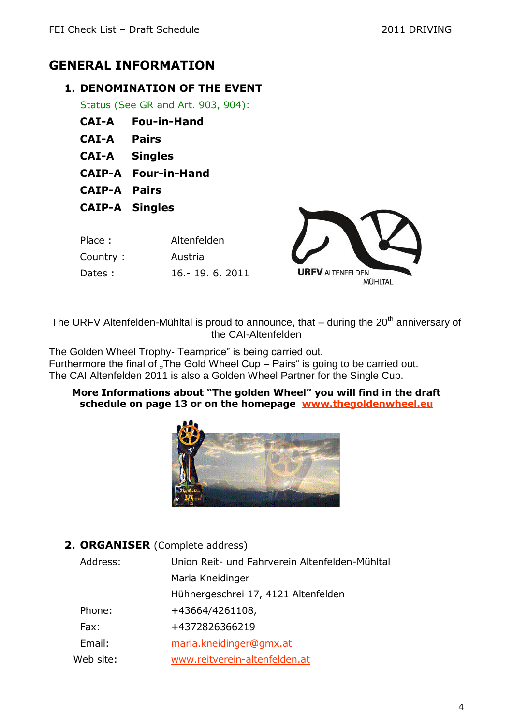# **GENERAL INFORMATION**

## **1. DENOMINATION OF THE EVENT**

Status (See GR and Art. 903, 904):

- **CAI-A Fou-in-Hand**
- **CAI-A Pairs**
- **CAI-A Singles**
- **CAIP-A Four-in-Hand**
- **CAIP-A Pairs**
- **CAIP-A Singles**

| Place:    | Altenfelden       |
|-----------|-------------------|
| Country : | Austria           |
| Dates:    | 16. - 19. 6. 2011 |



The URFV Altenfelden-Mühltal is proud to announce, that  $-$  during the  $20<sup>th</sup>$  anniversary of the CAI-Altenfelden

The Golden Wheel Trophy- Teamprice" is being carried out. Furthermore the final of "The Gold Wheel Cup – Pairs" is going to be carried out. The CAI Altenfelden 2011 is also a Golden Wheel Partner for the Single Cup.

#### **More Informations about "The golden Wheel" you will find in the draft schedule on page 13 or on the homepage [www.thegoldenwheel.eu](http://www.thegoldenwheel.eu/)**



**2. ORGANISER** (Complete address)

| Address:  | Union Reit- und Fahrverein Altenfelden-Mühltal |
|-----------|------------------------------------------------|
|           | Maria Kneidinger                               |
|           | Hühnergeschrei 17, 4121 Altenfelden            |
| Phone:    | +43664/4261108,                                |
| Fax:      | +4372826366219                                 |
| Email:    | maria.kneidinger@gmx.at                        |
| Web site: | www.reitverein-altenfelden.at                  |
|           |                                                |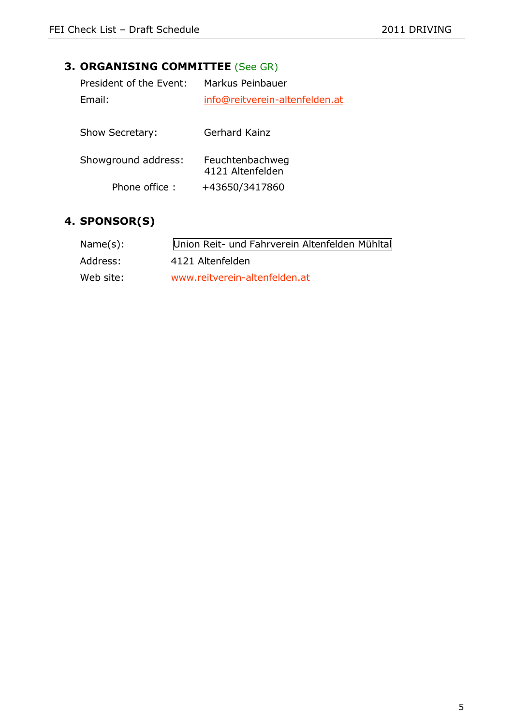# **3. ORGANISING COMMITTEE** (See GR)

| info@reitverein-altenfelden.at |
|--------------------------------|
|                                |
|                                |
|                                |
|                                |
|                                |
|                                |

## **4. SPONSOR(S)**

| Name(s):  | Union Reit- und Fahrverein Altenfelden Mühltal |
|-----------|------------------------------------------------|
| Address:  | 4121 Altenfelden                               |
| Web site: | www.reitverein-altenfelden.at                  |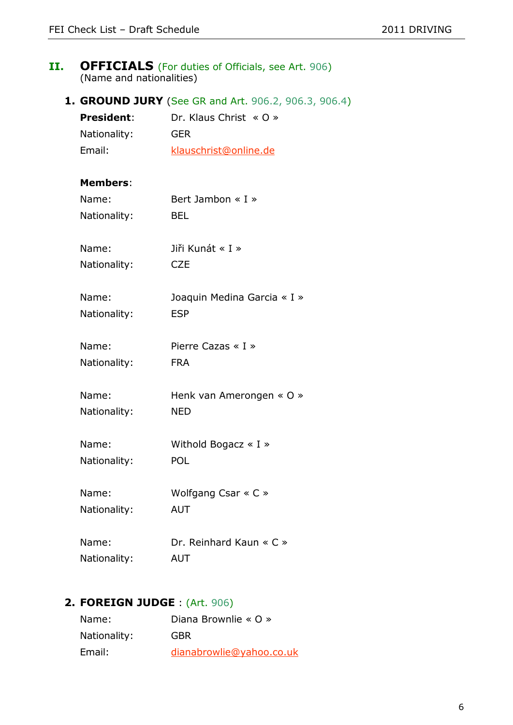#### **II. OFFICIALS** (For duties of Officials, see Art. 906) (Name and nationalities)

**1. GROUND JURY** (See GR and Art. 906.2, 906.3, 906.4)

| <b>President:</b> | Dr. Klaus Christ $\leq 0$ $\geq$ |
|-------------------|----------------------------------|
| Nationality:      | GFR                              |
| Email:            | klauschrist@online.de            |

#### **Members**:

| Name:        | Bert Jambon $\ll I \gg$         |
|--------------|---------------------------------|
| Nationality: | BEL                             |
| Name:        | Jiři Kunát « I »                |
| Nationality: | <b>CZE</b>                      |
| Name:        | Joaquin Medina Garcia « I »     |
| Nationality: | <b>ESP</b>                      |
| Name:        | Pierre Cazas $\leq$ I $\geq$    |
| Nationality: | <b>FRA</b>                      |
| Name:        | Henk van Amerongen « O »        |
| Nationality: | <b>NED</b>                      |
| Name:        | Withold Bogacz $\ll$ I $\gg$    |
| Nationality: | POL                             |
| Name:        | Wolfgang Csar $\ltimes$ C $\gt$ |
| Nationality: | <b>AUT</b>                      |
| Name:        | Dr. Reinhard Kaun « C »         |
| Nationality: | <b>AUT</b>                      |

# **2. FOREIGN JUDGE** : (Art. 906)

| Name:        | Diana Brownlie « O »     |
|--------------|--------------------------|
| Nationality: | GBR                      |
| Email:       | dianabrowlie@yahoo.co.uk |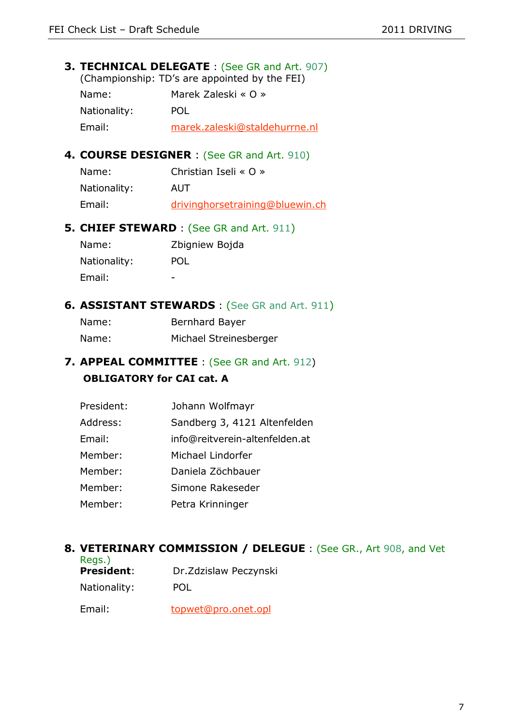#### **3. TECHNICAL DELEGATE** : (See GR and Art. 907) (Championship: TD's are appointed by the FEI)

| Name:        | Marek Zaleski « O »           |
|--------------|-------------------------------|
| Nationality: | POL                           |
| Email:       | marek.zaleski@staldehurrne.nl |

## **4. COURSE DESIGNER** : (See GR and Art. 910)

| Name:        | Christian Iseli « O »           |
|--------------|---------------------------------|
| Nationality: | AUT                             |
| Email:       | drivinghorsetraining@bluewin.ch |

## **5. CHIEF STEWARD** : (See GR and Art. 911)

| Name:        | Zbigniew Bojda |
|--------------|----------------|
| Nationality: | POL            |
| Email:       |                |

## **6. ASSISTANT STEWARDS** : (See GR and Art. 911)

| Name: | Bernhard Bayer         |
|-------|------------------------|
| Name: | Michael Streinesberger |

## **7. APPEAL COMMITTEE** : (See GR and Art. 912) **OBLIGATORY for CAI cat. A**

| President: | Johann Wolfmayr                |
|------------|--------------------------------|
| Address:   | Sandberg 3, 4121 Altenfelden   |
| Email:     | info@reitverein-altenfelden.at |
| Member:    | Michael Lindorfer              |
| Member:    | Daniela Zöchbauer              |
| Member:    | Simone Rakeseder               |
| Member:    | Petra Krinninger               |

## **8. VETERINARY COMMISSION / DELEGUE** : (See GR., Art 908, and Vet

| Regs.)            |                        |
|-------------------|------------------------|
| <b>President:</b> | Dr. Zdzislaw Peczynski |
| Nationality:      | POL                    |
| Email:            | topwet@pro.onet.opl    |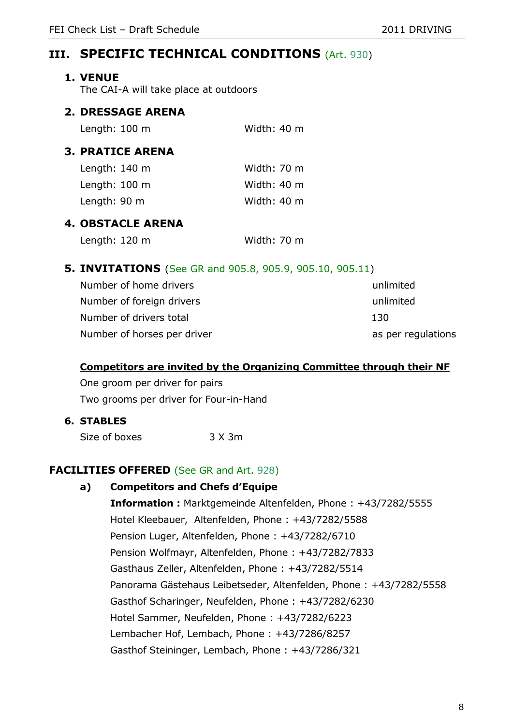## **III. SPECIFIC TECHNICAL CONDITIONS** (Art. 930)

#### **1. VENUE**

The CAI-A will take place at outdoors

## **2. DRESSAGE ARENA**

| Length: $100 \text{ m}$ | Width: 40 m |
|-------------------------|-------------|
|                         |             |

## **3. PRATICE ARENA**

| Length: 140 m | Width: 70 m |  |
|---------------|-------------|--|
| Length: 100 m | Width: 40 m |  |
| Length: 90 m  | Width: 40 m |  |

## **4. OBSTACLE ARENA**

| Length: 120 m | Width: 70 m |  |
|---------------|-------------|--|
|---------------|-------------|--|

## **5. INVITATIONS** (See GR and 905.8, 905.9, 905.10, 905.11)

| Number of home drivers      | unlimited          |
|-----------------------------|--------------------|
| Number of foreign drivers   | unlimited          |
| Number of drivers total     | 130                |
| Number of horses per driver | as per regulations |

#### **Competitors are invited by the Organizing Committee through their NF**

One groom per driver for pairs Two grooms per driver for Four-in-Hand

## **6. STABLES**

Size of boxes 3 X 3m

## **FACILITIES OFFERED** (See GR and Art. 928)

## **a) Competitors and Chefs d'Equipe**

**Information :** Marktgemeinde Altenfelden, Phone : +43/7282/5555 Hotel Kleebauer, Altenfelden, Phone : +43/7282/5588 Pension Luger, Altenfelden, Phone : +43/7282/6710 Pension Wolfmayr, Altenfelden, Phone : +43/7282/7833 Gasthaus Zeller, Altenfelden, Phone : +43/7282/5514 Panorama Gästehaus Leibetseder, Altenfelden, Phone : +43/7282/5558 Gasthof Scharinger, Neufelden, Phone : +43/7282/6230 Hotel Sammer, Neufelden, Phone : +43/7282/6223 Lembacher Hof, Lembach, Phone : +43/7286/8257 Gasthof Steininger, Lembach, Phone : +43/7286/321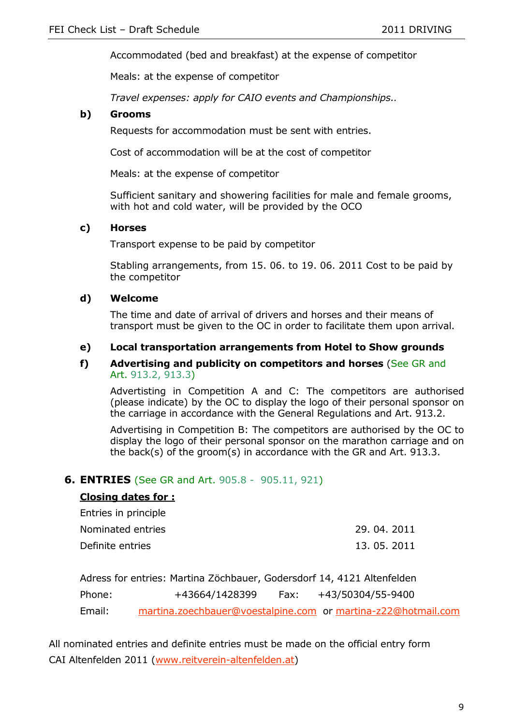Accommodated (bed and breakfast) at the expense of competitor

Meals: at the expense of competitor

*Travel expenses: apply for CAIO events and Championships..*

#### **b) Grooms**

Requests for accommodation must be sent with entries.

Cost of accommodation will be at the cost of competitor

Meals: at the expense of competitor

Sufficient sanitary and showering facilities for male and female grooms, with hot and cold water, will be provided by the OCO

#### **c) Horses**

Transport expense to be paid by competitor

Stabling arrangements, from 15. 06. to 19. 06. 2011 Cost to be paid by the competitor

#### **d) Welcome**

The time and date of arrival of drivers and horses and their means of transport must be given to the OC in order to facilitate them upon arrival.

#### **e) Local transportation arrangements from Hotel to Show grounds**

#### **f) Advertising and publicity on competitors and horses** (See GR and Art. 913.2, 913.3)

Advertisting in Competition A and C: The competitors are authorised (please indicate) by the OC to display the logo of their personal sponsor on the carriage in accordance with the General Regulations and Art. 913.2.

Advertising in Competition B: The competitors are authorised by the OC to display the logo of their personal sponsor on the marathon carriage and on the back(s) of the groom(s) in accordance with the GR and Art. 913.3.

#### **6. ENTRIES** (See GR and Art. 905.8 - 905.11, 921)

#### **Closing dates for :**

| Entries in principle |              |
|----------------------|--------------|
| Nominated entries    | 29, 04, 2011 |
| Definite entries     | 13, 05, 2011 |

Adress for entries: Martina Zöchbauer, Godersdorf 14, 4121 Altenfelden Phone: +43664/1428399 Fax: +43/50304/55-9400 Email: [martina.zoechbauer@voestalpine.com](mailto:martina.zoechbauer@voestalpine.com) or [martina-z22@hotmail.com](mailto:martina-z22@hotmail.com)

All nominated entries and definite entries must be made on the official entry form CAI Altenfelden 2011 [\(www.reitverein-altenfelden.at\)](http://www.reitverein-altenfelden.at/)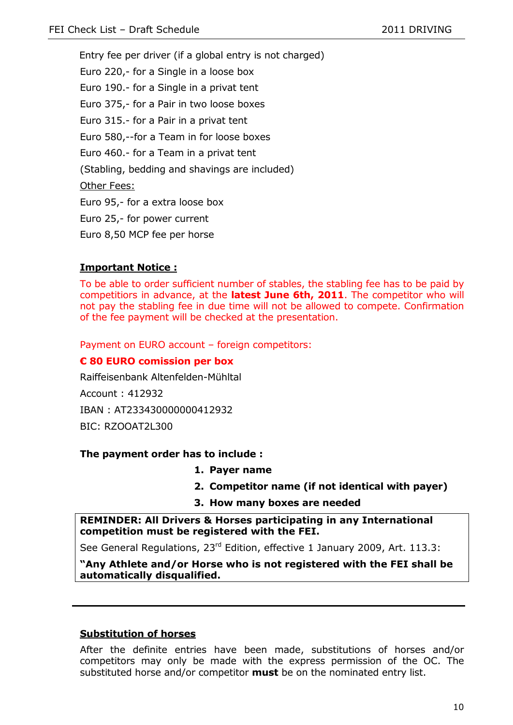Entry fee per driver (if a global entry is not charged) Euro 220,- for a Single in a loose box Euro 190.- for a Single in a privat tent Euro 375,- for a Pair in two loose boxes Euro 315.- for a Pair in a privat tent Euro 580,--for a Team in for loose boxes Euro 460.- for a Team in a privat tent (Stabling, bedding and shavings are included) Other Fees: Euro 95,- for a extra loose box Euro 25,- for power current Euro 8,50 MCP fee per horse

#### **Important Notice :**

To be able to order sufficient number of stables, the stabling fee has to be paid by competitiors in advance, at the **latest June 6th, 2011**. The competitor who will not pay the stabling fee in due time will not be allowed to compete. Confirmation of the fee payment will be checked at the presentation.

Payment on EURO account – foreign competitors:

#### **€ 80 EURO comission per box**

Raiffeisenbank Altenfelden-Mühltal Account : 412932

IBAN : AT233430000000412932

BIC: RZOOAT2L300

#### **The payment order has to include :**

- **1. Payer name**
- **2. Competitor name (if not identical with payer)**
- **3. How many boxes are needed**

**REMINDER: All Drivers & Horses participating in any International competition must be registered with the FEI.** 

See General Regulations, 23<sup>rd</sup> Edition, effective 1 January 2009, Art. 113.3:

**"Any Athlete and/or Horse who is not registered with the FEI shall be automatically disqualified.**

#### **Substitution of horses**

After the definite entries have been made, substitutions of horses and/or competitors may only be made with the express permission of the OC. The substituted horse and/or competitor **must** be on the nominated entry list.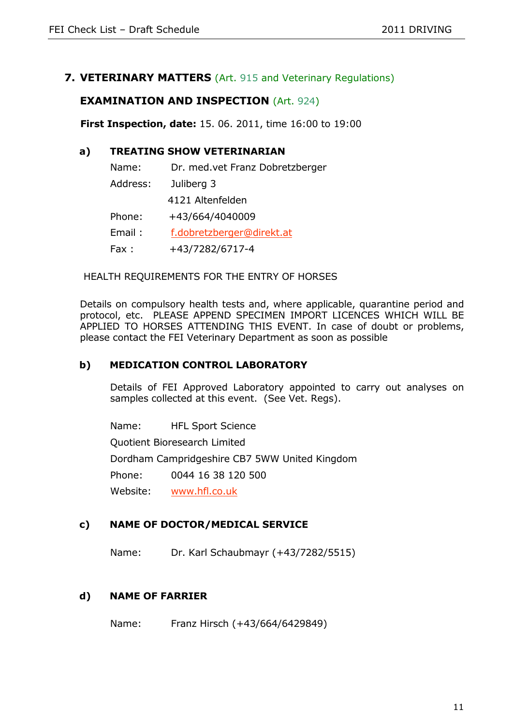## **7. VETERINARY MATTERS** (Art. 915 and Veterinary Regulations)

## **EXAMINATION AND INSPECTION** (Art. 924)

**First Inspection, date:** 15. 06. 2011, time 16:00 to 19:00

#### **a) TREATING SHOW VETERINARIAN**

| Name:    | Dr. med.vet Franz Dobretzberger |
|----------|---------------------------------|
| Address: | Juliberg 3                      |
|          | 4121 Altenfelden                |
| Phone:   | +43/664/4040009                 |
| Email:   | f.dobretzberger@direkt.at       |
| Fax:     | +43/7282/6717-4                 |

#### HEALTH REQUIREMENTS FOR THE ENTRY OF HORSES

Details on compulsory health tests and, where applicable, quarantine period and protocol, etc. PLEASE APPEND SPECIMEN IMPORT LICENCES WHICH WILL BE APPLIED TO HORSES ATTENDING THIS EVENT. In case of doubt or problems, please contact the FEI Veterinary Department as soon as possible

#### **b) MEDICATION CONTROL LABORATORY**

Details of FEI Approved Laboratory appointed to carry out analyses on samples collected at this event. (See Vet. Regs).

Name: HFL Sport Science

Quotient Bioresearch Limited

Dordham Campridgeshire CB7 5WW United Kingdom

Phone: 0044 16 38 120 500

Website: [www.hfl.co.uk](http://www.hfl.co.uk/)

#### **c) NAME OF DOCTOR/MEDICAL SERVICE**

Name: Dr. Karl Schaubmayr (+43/7282/5515)

#### **d) NAME OF FARRIER**

Name: Franz Hirsch (+43/664/6429849)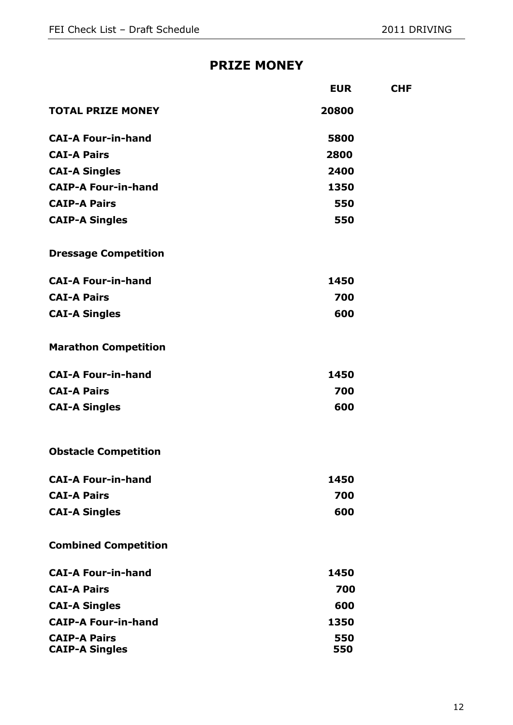## **PRIZE MONEY**

|                             | <b>EUR</b> | <b>CHF</b> |
|-----------------------------|------------|------------|
| <b>TOTAL PRIZE MONEY</b>    | 20800      |            |
| <b>CAI-A Four-in-hand</b>   | 5800       |            |
| <b>CAI-A Pairs</b>          | 2800       |            |
| <b>CAI-A Singles</b>        | 2400       |            |
| <b>CAIP-A Four-in-hand</b>  | 1350       |            |
| <b>CAIP-A Pairs</b>         | 550        |            |
| <b>CAIP-A Singles</b>       | 550        |            |
| <b>Dressage Competition</b> |            |            |
| <b>CAI-A Four-in-hand</b>   | 1450       |            |
| <b>CAI-A Pairs</b>          | 700        |            |
| <b>CAI-A Singles</b>        | 600        |            |
| <b>Marathon Competition</b> |            |            |
| <b>CAI-A Four-in-hand</b>   | 1450       |            |
| <b>CAI-A Pairs</b>          | 700        |            |
| <b>CAI-A Singles</b>        | 600        |            |
| <b>Obstacle Competition</b> |            |            |
| <b>CAI-A Four-in-hand</b>   | 1450       |            |
| <b>CAI-A Pairs</b>          | 700        |            |
| <b>CAI-A Singles</b>        | 600        |            |
| <b>Combined Competition</b> |            |            |
| <b>CAI-A Four-in-hand</b>   | 1450       |            |
| <b>CAI-A Pairs</b>          | 700        |            |
| <b>CAI-A Singles</b>        | 600        |            |
| <b>CAIP-A Four-in-hand</b>  | 1350       |            |
| <b>CAIP-A Pairs</b>         | 550        |            |
| <b>CAIP-A Singles</b>       | 550        |            |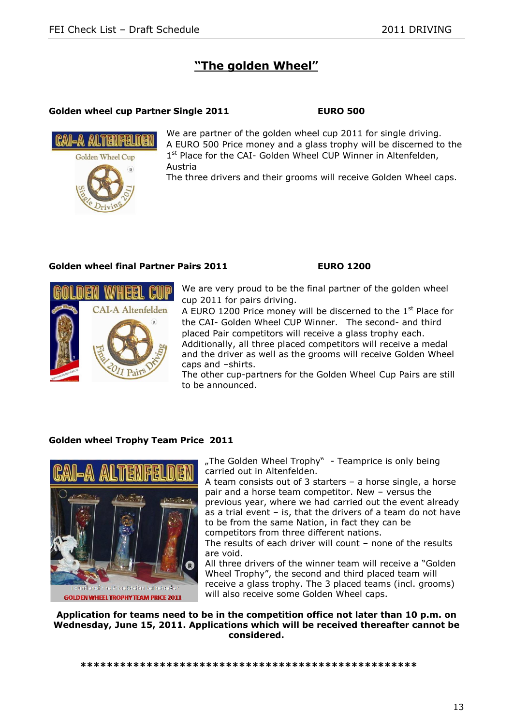## **"The golden Wheel"**

#### **Golden wheel cup Partner Single 2011 EURO 500**



We are partner of the golden wheel cup 2011 for single driving. A EURO 500 Price money and a glass trophy will be discerned to the 1<sup>st</sup> Place for the CAI- Golden Wheel CUP Winner in Altenfelden, Austria

The three drivers and their grooms will receive Golden Wheel caps.

#### **Golden wheel final Partner Pairs 2011 EURO 1200**



We are very proud to be the final partner of the golden wheel cup 2011 for pairs driving.

A EURO 1200 Price money will be discerned to the 1<sup>st</sup> Place for the CAI- Golden Wheel CUP Winner.The second- and third placed Pair competitors will receive a glass trophy each. Additionally, all three placed competitors will receive a medal and the driver as well as the grooms will receive Golden Wheel caps and –shirts.

The other cup-partners for the Golden Wheel Cup Pairs are still to be announced.

#### **Golden wheel Trophy Team Price 2011**



"The Golden Wheel Trophy" - Teamprice is only being. carried out in Altenfelden.

A team consists out of 3 starters – a horse single, a horse pair and a horse team competitor. New – versus the previous year, where we had carried out the event already as a trial event – is, that the drivers of a team do not have to be from the same Nation, in fact they can be

competitors from three different nations.

The results of each driver will count - none of the results are void.

All three drivers of the winner team will receive a "Golden Wheel Trophy", the second and third placed team will receive a glass trophy. The 3 placed teams (incl. grooms) will also receive some Golden Wheel caps.

**Application for teams need to be in the competition office not later than 10 p.m. on Wednesday, June 15, 2011. Applications which will be received thereafter cannot be considered.**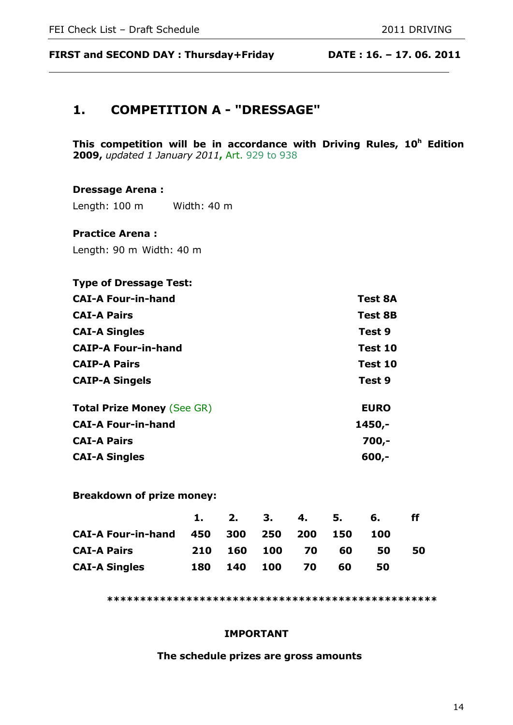**FIRST and SECOND DAY : Thursday+Friday DATE : 16. – 17. 06. 2011**

# **1. COMPETITION A - "DRESSAGE"**

**This competition will be in accordance with Driving Rules, 10<sup>h</sup> Edition 2009,** *updated 1 January 2011***,** Art. 929 to 938

#### **Dressage Arena :**

Length: 100 m Width: 40 m

#### **Practice Arena :**

Length: 90 m Width: 40 m

# **Type of Dressage Test: CAI-A Four-in-hand Test 8A CAI-A Pairs Test 8B CAI-A Singles Test 9 CAIP-A Four-in-hand Test 10 CAIP-A Pairs Test 10 CAIP-A Singels Test 9 Total Prize Money** (See GR) **EURO CAI-A Four-in-hand 1450,- CAI-A Pairs 700,- CAI-A Singles 600,-**

**Breakdown of prize money:**

|                                        |            | $\sim$ 2. | 3. 4. 5.   |           |    | 6.  | ff |
|----------------------------------------|------------|-----------|------------|-----------|----|-----|----|
| CAI-A Four-in-hand 450 300 250 200 150 |            |           |            |           |    | 100 |    |
| <b>CAI-A Pairs</b>                     | <b>210</b> | 160 100   |            | <b>70</b> | 60 | 50  | 50 |
| <b>CAI-A Singles</b>                   | 180        | 140       | <b>100</b> | <b>70</b> | 60 | 50  |    |

**\*\*\*\*\*\*\*\*\*\*\*\*\*\*\*\*\*\*\*\*\*\*\*\*\*\*\*\*\*\*\*\*\*\*\*\*\*\*\*\*\*\*\*\*\*\*\*\*\*\***

#### **IMPORTANT**

#### **The schedule prizes are gross amounts**

14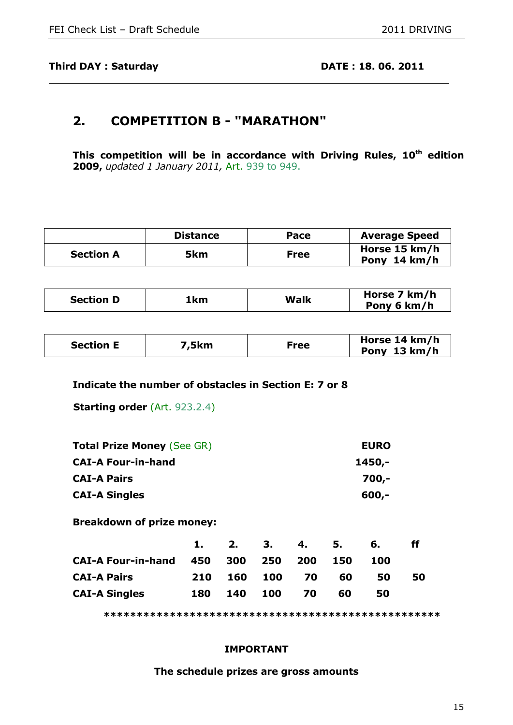## **2. COMPETITION B - "MARATHON"**

**This competition will be in accordance with Driving Rules, 10th edition 2009,** *updated 1 January 2011,* Art. 939 to 949.

|                  | <b>Distance</b> | Pace        | <b>Average Speed</b>          |
|------------------|-----------------|-------------|-------------------------------|
| <b>Section A</b> | 5km             | <b>Free</b> | Horse 15 km/h<br>Pony 14 km/h |

| <b>Section D</b><br>1 km | Walk | Horse 7 km/h<br>Pony 6 km/h |
|--------------------------|------|-----------------------------|
|--------------------------|------|-----------------------------|

| 5km,<br><b>Section E</b> | Free | Horse 14 km/h<br>Pony 13 km/h |
|--------------------------|------|-------------------------------|
|--------------------------|------|-------------------------------|

#### **Indicate the number of obstacles in Section E: 7 or 8**

**Starting order** (Art. 923.2.4)

| <b>Total Prize Money (See GR)</b> | <b>EURO</b> |
|-----------------------------------|-------------|
| <b>CAI-A Four-in-hand</b>         | 1450,-      |
| <b>CAI-A Pairs</b>                | 700,-       |
| <b>CAI-A Singles</b>              | $600,-$     |

**Breakdown of prize money:**

|                               | 1.         | 2.  | 3. 4.       |      | 5.   | 6.  | ff |
|-------------------------------|------------|-----|-------------|------|------|-----|----|
| <b>CAI-A Four-in-hand 450</b> |            |     | 300 250 200 |      | -150 | 100 |    |
| <b>CAI-A Pairs</b>            | <b>210</b> |     | 160 100     | 70   | 60   | 50  | 50 |
| <b>CAI-A Singles</b>          | 180        | 140 | 100         | - 70 | 60   | 50  |    |

**\*\*\*\*\*\*\*\*\*\*\*\*\*\*\*\*\*\*\*\*\*\*\*\*\*\*\*\*\*\*\*\*\*\*\*\*\*\*\*\*\*\*\*\*\*\*\*\*\*\*\***

#### **IMPORTANT**

#### **The schedule prizes are gross amounts**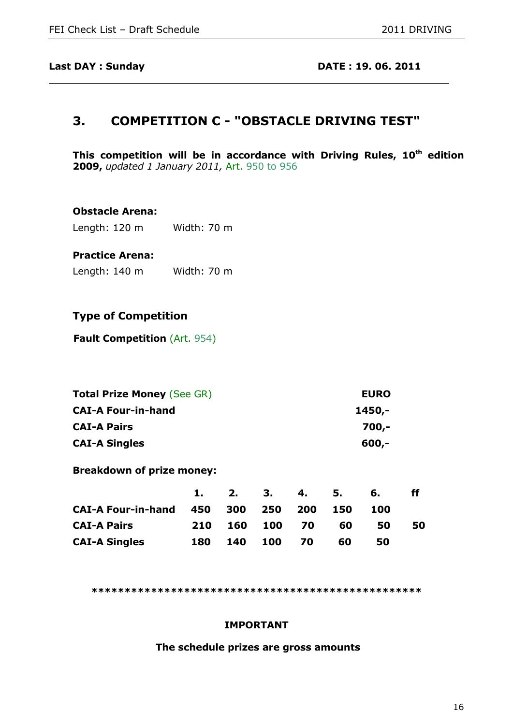## **3. COMPETITION C - "OBSTACLE DRIVING TEST"**

**This competition will be in accordance with Driving Rules, 10th edition 2009,** *updated 1 January 2011,* Art. 950 to 956

#### **Obstacle Arena:**

Length: 120 m Width: 70 m

#### **Practice Arena:**

Length: 140 m Width: 70 m

#### **Type of Competition**

**Fault Competition (Art. 954)** 

| <b>Total Prize Money (See GR)</b> | <b>EURO</b> |
|-----------------------------------|-------------|
| <b>CAI-A Four-in-hand</b>         | 1450,-      |
| <b>CAI-A Pairs</b>                | 700,-       |
| <b>CAI-A Singles</b>              | $600 -$     |

**Breakdown of prize money:**

|                                        |     | 1. 2. 3. |                | 4. 5.     |    | 6.  |    |
|----------------------------------------|-----|----------|----------------|-----------|----|-----|----|
| CAI-A Four-in-hand 450 300 250 200 150 |     |          |                |           |    | 100 |    |
| <b>CAI-A Pairs</b>                     |     |          | 210 160 100 70 |           | 60 | 50  | 50 |
| <b>CAI-A Singles</b>                   | 180 | 140      | <b>100</b>     | <b>70</b> | 60 | 50  |    |

**\*\*\*\*\*\*\*\*\*\*\*\*\*\*\*\*\*\*\*\*\*\*\*\*\*\*\*\*\*\*\*\*\*\*\*\*\*\*\*\*\*\*\*\*\*\*\*\*\*\***

#### **IMPORTANT**

**The schedule prizes are gross amounts**